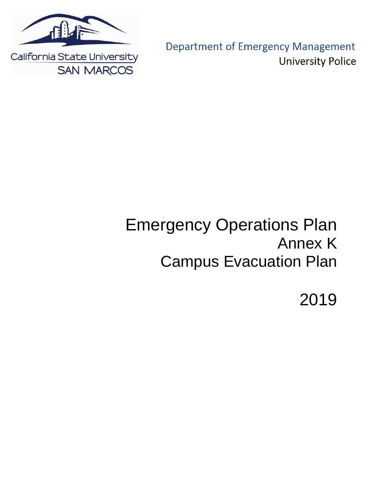

**Department of Emergency Management University Police** 

# Emergency Operations Plan Annex K Campus Evacuation Plan

2019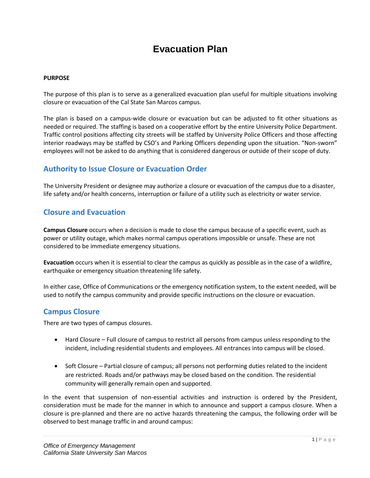## **Evacuation Plan**

#### **PURPOSE**

The purpose of this plan is to serve as a generalized evacuation plan useful for multiple situations involving closure or evacuation of the Cal State San Marcos campus.

The plan is based on a campus-wide closure or evacuation but can be adjusted to fit other situations as needed or required. The staffing is based on a cooperative effort by the entire University Police Department. Traffic control positions affecting city streets will be staffed by University Police Officers and those affecting interior roadways may be staffed by CSO's and Parking Officers depending upon the situation. "Non-sworn" employees will not be asked to do anything that is considered dangerous or outside of their scope of duty.

## **Authority to Issue Closure or Evacuation Order**

The University President or designee may authorize a closure or evacuation of the campus due to a disaster, life safety and/or health concerns, interruption or failure of a utility such as electricity or water service.

## **Closure and Evacuation**

**Campus Closure** occurs when a decision is made to close the campus because of a specific event, such as power or utility outage, which makes normal campus operations impossible or unsafe. These are not considered to be immediate emergency situations.

**Evacuation** occurs when it is essential to clear the campus as quickly as possible as in the case of a wildfire, earthquake or emergency situation threatening life safety.

In either case, Office of Communications or the emergency notification system, to the extent needed, will be used to notify the campus community and provide specific instructions on the closure or evacuation.

## **Campus Closure**

There are two types of campus closures.

- Hard Closure Full closure of campus to restrict all persons from campus unless responding to the incident, including residential students and employees. All entrances into campus will be closed.
- Soft Closure Partial closure of campus; all persons not performing duties related to the incident are restricted. Roads and/or pathways may be closed based on the condition. The residential community will generally remain open and supported.

In the event that suspension of non-essential activities and instruction is ordered by the President, consideration must be made for the manner in which to announce and support a campus closure. When a closure is pre-planned and there are no active hazards threatening the campus, the following order will be observed to best manage traffic in and around campus: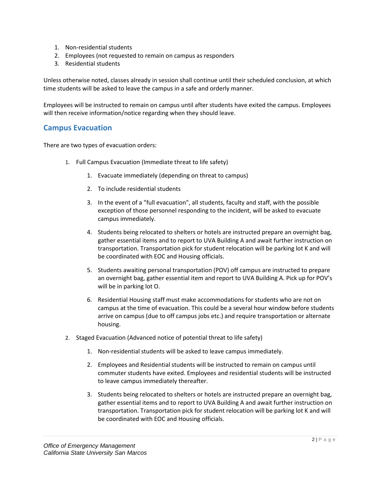- 1. Non-residential students
- 2. Employees (not requested to remain on campus as responders
- 3. Residential students

Unless otherwise noted, classes already in session shall continue until their scheduled conclusion, at which time students will be asked to leave the campus in a safe and orderly manner.

Employees will be instructed to remain on campus until after students have exited the campus. Employees will then receive information/notice regarding when they should leave.

## **Campus Evacuation**

There are two types of evacuation orders:

- 1. Full Campus Evacuation (Immediate threat to life safety)
	- 1. Evacuate immediately (depending on threat to campus)
	- 2. To include residential students
	- 3. In the event of a "full evacuation", all students, faculty and staff, with the possible exception of those personnel responding to the incident, will be asked to evacuate campus immediately.
	- 4. Students being relocated to shelters or hotels are instructed prepare an overnight bag, gather essential items and to report to UVA Building A and await further instruction on transportation. Transportation pick for student relocation will be parking lot K and will be coordinated with EOC and Housing officials.
	- 5. Students awaiting personal transportation (POV) off campus are instructed to prepare an overnight bag, gather essential item and report to UVA Building A. Pick up for POV's will be in parking lot O.
	- 6. Residential Housing staff must make accommodations for students who are not on campus at the time of evacuation. This could be a several hour window before students arrive on campus (due to off campus jobs etc.) and require transportation or alternate housing.
- 2. Staged Evacuation (Advanced notice of potential threat to life safety)
	- 1. Non-residential students will be asked to leave campus immediately.
	- 2. Employees and Residential students will be instructed to remain on campus until commuter students have exited. Employees and residential students will be instructed to leave campus immediately thereafter.
	- 3. Students being relocated to shelters or hotels are instructed prepare an overnight bag, gather essential items and to report to UVA Building A and await further instruction on transportation. Transportation pick for student relocation will be parking lot K and will be coordinated with EOC and Housing officials.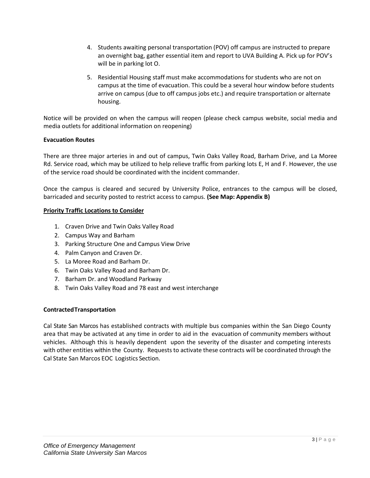- 4. Students awaiting personal transportation (POV) off campus are instructed to prepare an overnight bag, gather essential item and report to UVA Building A. Pick up for POV's will be in parking lot O.
- 5. Residential Housing staff must make accommodations for students who are not on campus at the time of evacuation. This could be a several hour window before students arrive on campus (due to off campus jobs etc.) and require transportation or alternate housing.

Notice will be provided on when the campus will reopen (please check campus website, social media and media outlets for additional information on reopening)

#### **Evacuation Routes**

There are three major arteries in and out of campus, Twin Oaks Valley Road, Barham Drive, and La Moree Rd. Service road, which may be utilized to help relieve traffic from parking lots E, H and F. However, the use of the service road should be coordinated with the incident commander.

Once the campus is cleared and secured by University Police, entrances to the campus will be closed, barricaded and security posted to restrict access to campus. **(See Map: Appendix B)**

#### **Priority Traffic Locations to Consider**

- 1. Craven Drive and Twin Oaks Valley Road
- 2. Campus Way and Barham
- 3. Parking Structure One and Campus View Drive
- 4. Palm Canyon and Craven Dr.
- 5. La Moree Road and Barham Dr.
- 6. Twin Oaks Valley Road and Barham Dr.
- 7. Barham Dr. and Woodland Parkway
- 8. Twin Oaks Valley Road and 78 east and west interchange

#### **ContractedTransportation**

Cal State San Marcos has established contracts with multiple bus companies within the San Diego County area that may be activated at any time in order to aid in the evacuation of community members without vehicles. Although this is heavily dependent upon the severity of the disaster and competing interests with other entities within the County. Requests to activate these contracts will be coordinated through the Cal State San Marcos EOC Logistics Section.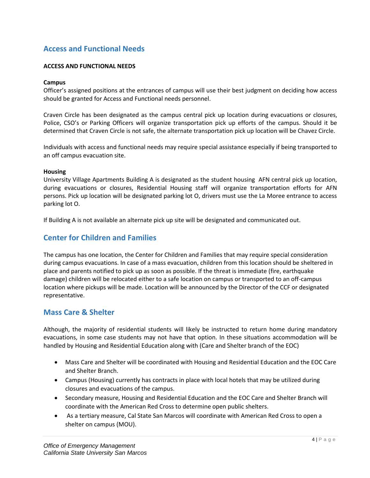## **Access and Functional Needs**

#### **ACCESS AND FUNCTIONAL NEEDS**

#### **Campus**

Officer's assigned positions at the entrances of campus will use their best judgment on deciding how access should be granted for Access and Functional needs personnel.

Craven Circle has been designated as the campus central pick up location during evacuations or closures, Police, CSO's or Parking Officers will organize transportation pick up efforts of the campus. Should it be determined that Craven Circle is not safe, the alternate transportation pick up location will be Chavez Circle.

Individuals with access and functional needs may require special assistance especially if being transported to an off campus evacuation site.

#### **Housing**

University Village Apartments Building A is designated as the student housing AFN central pick up location, during evacuations or closures, Residential Housing staff will organize transportation efforts for AFN persons. Pick up location will be designated parking lot O, drivers must use the La Moree entrance to access parking lot O.

If Building A is not available an alternate pick up site will be designated and communicated out.

## **Center for Children and Families**

The campus has one location, the Center for Children and Families that may require special consideration during campus evacuations. In case of a mass evacuation, children from this location should be sheltered in place and parents notified to pick up as soon as possible. If the threat is immediate (fire, earthquake damage) children will be relocated either to a safe location on campus or transported to an off-campus location where pickups will be made. Location will be announced by the Director of the CCF or designated representative.

## **Mass Care & Shelter**

Although, the majority of residential students will likely be instructed to return home during mandatory evacuations, in some case students may not have that option. In these situations accommodation will be handled by Housing and Residential Education along with (Care and Shelter branch of the EOC)

- Mass Care and Shelter will be coordinated with Housing and Residential Education and the EOC Care and Shelter Branch.
- Campus (Housing) currently has contracts in place with local hotels that may be utilized during closures and evacuations of the campus.
- Secondary measure, Housing and Residential Education and the EOC Care and Shelter Branch will coordinate with the American Red Cross to determine open public shelters.
- As a tertiary measure, Cal State San Marcos will coordinate with American Red Cross to open a shelter on campus (MOU).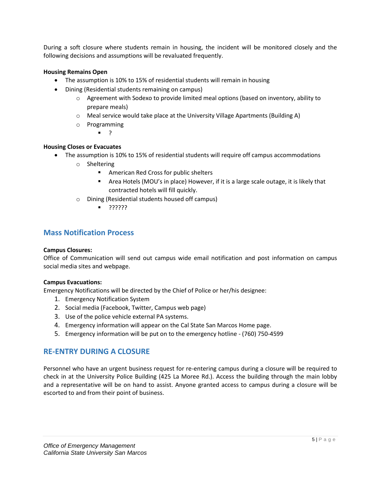During a soft closure where students remain in housing, the incident will be monitored closely and the following decisions and assumptions will be revaluated frequently.

#### **Housing Remains Open**

- The assumption is 10% to 15% of residential students will remain in housing
- Dining (Residential students remaining on campus)
	- $\circ$  Agreement with Sodexo to provide limited meal options (based on inventory, ability to prepare meals)
	- o Meal service would take place at the University Village Apartments (Building A)
	- o Programming
		- $\blacksquare$

#### **Housing Closes or Evacuates**

- The assumption is 10% to 15% of residential students will require off campus accommodations
	- o Sheltering
		- **American Red Cross for public shelters**
		- Area Hotels (MOU's in place) However, if it is a large scale outage, it is likely that contracted hotels will fill quickly.
	- o Dining (Residential students housed off campus)
		- ??????

### **Mass Notification Process**

#### **Campus Closures:**

Office of Communication will send out campus wide email notification and post information on campus social media sites and webpage.

#### **Campus Evacuations:**

Emergency Notifications will be directed by the Chief of Police or her/his designee:

- 1. Emergency Notification System
- 2. Social media (Facebook, Twitter, Campus web page)
- 3. Use of the police vehicle external PA systems.
- 4. Emergency information will appear on the Cal State San Marcos Home page.
- 5. Emergency information will be put on to the emergency hotline (760) 750-4599

## **RE-ENTRY DURING A CLOSURE**

Personnel who have an urgent business request for re-entering campus during a closure will be required to check in at the University Police Building (425 La Moree Rd.). Access the building through the main lobby and a representative will be on hand to assist. Anyone granted access to campus during a closure will be escorted to and from their point of business.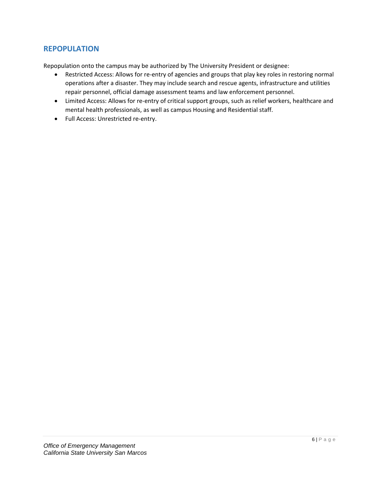## **REPOPULATION**

Repopulation onto the campus may be authorized by The University President or designee:

- Restricted Access: Allows for re-entry of agencies and groups that play key roles in restoring normal operations after a disaster. They may include search and rescue agents, infrastructure and utilities repair personnel, official damage assessment teams and law enforcement personnel.
- Limited Access: Allows for re-entry of critical support groups, such as relief workers, healthcare and mental health professionals, as well as campus Housing and Residential staff.
- Full Access: Unrestricted re-entry.